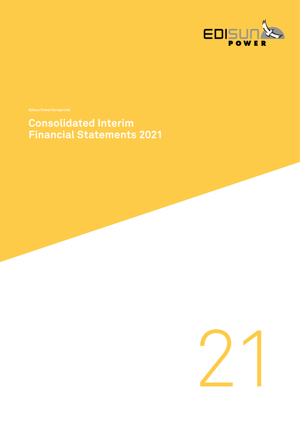

**Consolidated Interim Financial Statements 2021**

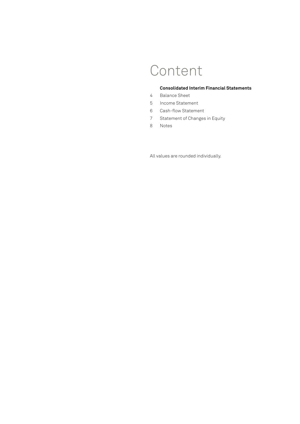# Content

### **Consolidated Interim Financial Statements**

- 4 [Balance Sheet](#page-3-0)
- 5 [Income Statement](#page-4-0)
- 6 [Cash-flow Statement](#page-5-0)
- 7 [Statement of Changes in Equity](#page-6-0)
- [8 Notes](#page-7-0)

All values are rounded individually.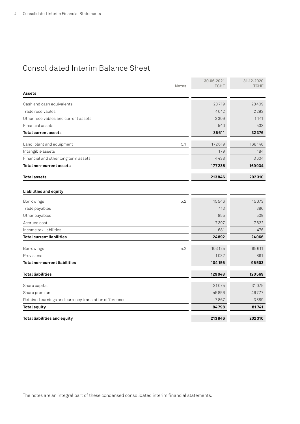# <span id="page-3-0"></span>Consolidated Interim Balance Sheet

| <b>Notes</b>                                           | 30.06.2021<br><b>TCHF</b> | 31.12.2020<br><b>TCHF</b> |
|--------------------------------------------------------|---------------------------|---------------------------|
| <b>Assets</b>                                          |                           |                           |
| Cash and cash equivalents                              | 28719                     | 28409                     |
| Trade receivables                                      | 4042                      | 2293                      |
| Other receivables and current assets                   | 3309                      | 1141                      |
| Financial assets                                       | 540                       | 533                       |
| <b>Total current assets</b>                            | 36611                     | 32376                     |
| 5.1<br>Land, plant and equipment                       | 172619                    | 166146                    |
| Intangible assets                                      | 179                       | 184                       |
| Financial and other long term assets                   | 4438                      | 3604                      |
| Total non-current assets                               | 177235                    | 169934                    |
| Total assets                                           | 213846                    | 202310                    |
| Liabilities and equity                                 |                           |                           |
| 5.2<br><b>Borrowings</b>                               | 15546                     | 15073                     |
| Trade payables                                         | 413                       | 386                       |
| Other payables                                         | 855                       | 509                       |
| Accrued cost                                           | 7397                      | 7622                      |
| Income tax liabilities                                 | 681                       | 476                       |
| <b>Total current liabilities</b>                       | 24892                     | 24066                     |
| 5.2<br>Borrowings                                      | 103 125                   | 95611                     |
| Provisions                                             | 1032                      | 891                       |
| Total non-current liabilities                          | 104156                    | 96503                     |
| <b>Total liabilities</b>                               | 129048                    | 120569                    |
| Share capital                                          | 31075                     | 31075                     |
| Share premium                                          | 45856                     | 46777                     |
| Retained earnings and currency translation differences | 7867                      | 3889                      |
| <b>Total equity</b>                                    | 84798                     | 81741                     |
| Total liabilities and equity                           | 213846                    | 202310                    |

The notes are an integral part of these condensed consolidated interim financial statements.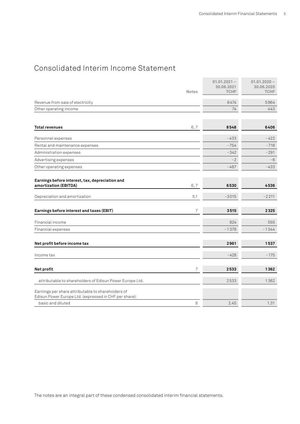# <span id="page-4-0"></span>Consolidated Interim Income Statement

|                                                                                                                                   | <b>Notes</b> | $01.01.2021 -$<br>30.06.2021<br><b>TCHF</b> | $01.01.2020 -$<br>30.06.2020<br><b>TCHF</b> |
|-----------------------------------------------------------------------------------------------------------------------------------|--------------|---------------------------------------------|---------------------------------------------|
| Revenue from sale of electricity                                                                                                  |              | 8474                                        | 5964                                        |
| Other operating income                                                                                                            |              | 74                                          | 443                                         |
| <b>Total revenues</b>                                                                                                             | 6, 7         | 8548                                        | 6406                                        |
| Personnel expenses                                                                                                                |              | $-433$                                      | $-422$                                      |
| Rental and maintenance expenses                                                                                                   |              | $-754$                                      | $-718$                                      |
| Administration expenses                                                                                                           |              | $-342$                                      | $-291$                                      |
| Advertising expenses                                                                                                              |              | $-2$                                        | $-6$                                        |
| Other operating expenses                                                                                                          |              | $-487$                                      | $-433$                                      |
| Earnings before interest, tax, depreciation and<br>amortization (EBITDA)                                                          | 6, 7         | 6530                                        | 4536                                        |
| Depreciation and amortization                                                                                                     | 5.1          | $-3015$                                     | $-2211$                                     |
| Earnings before interest and taxes (EBIT)                                                                                         | 7            | 3515                                        | 2325                                        |
| Financial income                                                                                                                  |              | 824                                         | 555                                         |
| Financial expenses                                                                                                                |              | $-1378$                                     | $-1344$                                     |
| Net profit before income tax                                                                                                      |              | 2961                                        | 1537                                        |
| Income tax                                                                                                                        |              | $-428$                                      | $-175$                                      |
| Net profit                                                                                                                        | 7            | 2533                                        | 1362                                        |
| attributable to shareholders of Edisun Power Europe Ltd.                                                                          |              | 2533                                        | 1362                                        |
| Earnings per share attributable to shareholders of<br>Edisun Power Europe Ltd. (expressed in CHF per share):<br>basic and diluted | 8            | 2.45                                        | 1.31                                        |
|                                                                                                                                   |              |                                             |                                             |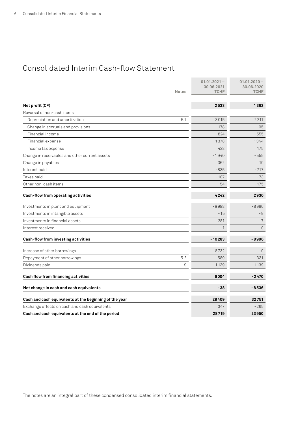# <span id="page-5-0"></span>Consolidated Interim Cash-flow Statement

|                                                        | $01.01.2021 -$<br>30.06.2021 | $01.01.2020 -$<br>30,06,2020 |
|--------------------------------------------------------|------------------------------|------------------------------|
| <b>Notes</b>                                           | <b>TCHF</b>                  | <b>TCHF</b>                  |
|                                                        |                              |                              |
| Net profit (CF)                                        | 2533                         | 1362                         |
| Reversal of non-cash items:                            |                              |                              |
| Depreciation and amortization                          | 5.1<br>3015                  | 2211                         |
| Change in accruals and provisions                      | 178                          | - 95                         |
| Financial income                                       | $-824$                       | -555                         |
| Financial expense                                      | 1378                         | 1344                         |
| Income tax expense                                     | 428                          | 175                          |
| Change in receivables and other current assets         | $-1940$                      | $-555$                       |
| Change in payables                                     | 362                          | 10 <sup>°</sup>              |
| Interest paid                                          | $-835$                       | $-717$                       |
| Taxes paid                                             | $-107$                       | $-73$                        |
| Other non-cash items                                   | 54                           | $-175$                       |
| Cash-flow from operating activities                    | 4242                         | 2930                         |
| Investments in plant and equipment                     | $-9988$                      | $-8980$                      |
| Investments in intangible assets                       | $-15$                        | - 9                          |
| Investments in financial assets                        | $-281$                       | $-7$                         |
| Interest received                                      | 1                            | $\Omega$                     |
| Cash-flow from investing activities                    | $-10283$                     | $-8996$                      |
| Increase of other borrowings                           | 8732                         | $\mathbf{0}$                 |
| Repayment of other borrowings                          | 5.2<br>$-1589$               | $-1331$                      |
| Dividends paid                                         | 9<br>$-1139$                 | $-1139$                      |
| Cash flow from financing activities                    | 6004                         | $-2470$                      |
| Net change in cash and cash equivalents                | $-38$                        | $-8536$                      |
| Cash and cash equivalents at the beginning of the year | 28409                        | 32751                        |
| Exchange effects on cash and cash equivalents          | 347                          | $-265$                       |
| Cash and cash equivalents at the end of the period     | 28719                        | 23950                        |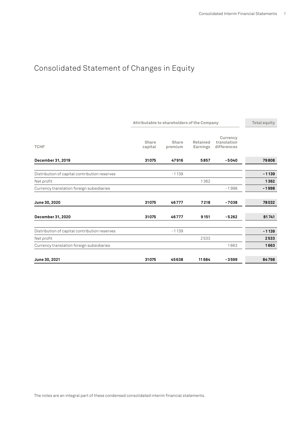# <span id="page-6-0"></span>Consolidated Statement of Changes in Equity

| Attributable to shareholders of the Company   |                  |                  |                      |                                        |         |
|-----------------------------------------------|------------------|------------------|----------------------|----------------------------------------|---------|
| <b>TCHF</b>                                   | Share<br>capital | Share<br>premium | Retained<br>Earnings | Currency<br>translation<br>differences |         |
| December 31, 2019                             | 31075            | 47916            | 5857                 | $-5040$                                | 79808   |
| Distribution of capital contribution reserves |                  | $-1139$          |                      |                                        | $-1139$ |
| Net profit                                    |                  |                  | 1362                 |                                        | 1362    |
| Currency translation foreign subsidiaries     |                  |                  |                      | $-1998$                                | $-1998$ |
| June 30, 2020                                 | 31075            | 46777            | 7218                 | $-7038$                                | 78032   |
| December 31, 2020                             | 31075            | 46777            | 9151                 | $-5262$                                | 81741   |
| Distribution of capital contribution reserves |                  | $-1139$          |                      |                                        | $-1139$ |
| Net profit                                    |                  |                  | 2533                 |                                        | 2533    |
| Currency translation foreign subsidiaries     |                  |                  |                      | 1663                                   | 1663    |
| June 30, 2021                                 | 31075            | 45638            | 11684                | $-3599$                                | 84798   |

The notes are an integral part of these condensed consolidated interim financial statements.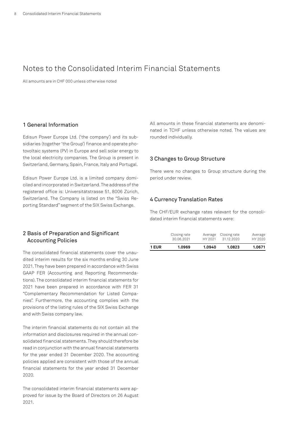# <span id="page-7-0"></span>Notes to the Consolidated Interim Financial Statements

All amounts are in CHF 000 unless otherwise noted

# 1 General Information

Edisun Power Europe Ltd. ('the company') and its subsidiaries (together 'the Group') finance and operate photovoltaic systems (PV) in Europe and sell solar energy to the local electricity companies. The Group is present in Switzerland, Germany, Spain, France, Italy and Portugal.

Edisun Power Europe Ltd. is a limited company domiciled and incorporated in Switzerland. The address of the registered office is: Universitätstrasse 51, 8006 Zürich, Switzerland. The Company is listed on the "Swiss Reporting Standard" segment of the SIX Swiss Exchange.

All amounts in these financial statements are denominated in TCHF unless otherwise noted. The values are rounded individually.

#### 3 Changes to Group Structure

There were no changes to Group structure during the period under review.

#### 4 Currency Translation Rates

The CHF/EUR exchange rates relevant for the consolidated interim financial statements were:

| 1 EUR | 1.0969       | 1.0940  | 1.0823       | 1.0671  |
|-------|--------------|---------|--------------|---------|
|       | Closing rate | Average | Closing rate | Average |
|       | 30.06.2021   | HY 2021 | 31.12.2020   | HY 2020 |

### 2 Basis of Preparation and Significant Accounting Policies

The consolidated financial statements cover the unaudited interim results for the six months ending 30 June 2021. They have been prepared in accordance with Swiss GAAP FER (Accounting and Reporting Recommendations). The consolidated interim financial statements for 2021 have been prepared in accordance with FER 31 "Complementary Recommendation for Listed Companies". Furthermore, the accounting complies with the provisions of the listing rules of the SIX Swiss Exchange and with Swiss company law.

The interim financial statements do not contain all the information and disclosures required in the annual consolidated financial statements. They should therefore be read in conjunction with the annual financial statements for the year ended 31 December 2020. The accounting policies applied are consistent with those of the annual financial statements for the year ended 31 December 2020.

The consolidated interim financial statements were approved for issue by the Board of Directors on 26 August 2021.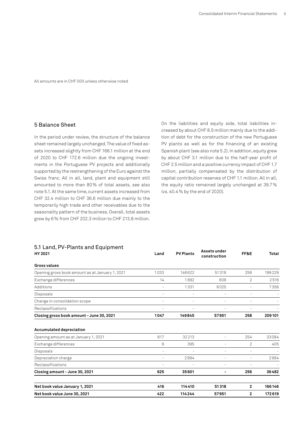# 5 Balance Sheet

In the period under review, the structure of the balance sheet remained largely unchanged. The value of fixed assets increased slightly from CHF 166.1 million at the end of 2020 to CHF 172.6 million due the ongoing investments in the Portuguese PV projects and additionally supported by the restrengthening of the Euro against the Swiss franc. All in all, land, plant and equipment still amounted to more than 80% of total assets, see also note 5.1. At the same time, current assets increased from CHF 32.4 million to CHF 36.6 million due mainly to the temporarily high trade and other receivables due to the seasonality pattern of the business. Overall, total assets grew by 6% from CHF 202.3 million to CHF 213.8 million.

On the liabilities and equity side, total liabilities increased by about CHF 8.5 million mainly due to the addition of debt for the construction of the new Portuguese PV plants as well as for the financing of an existing Spanish plant (see also note 5.2). In addition, equity grew by about CHF 3.1 million due to the half-year profit of CHF 2.5 million and a positive currency impact of CHF 1.7 million, partially compensated by the distribution of capital contribution reserves of CHF 1.1 million. All in all, the equity ratio remained largely unchanged at 39.7% (vs. 40.4% by the end of 2020).

| HY 2021                                                                 | Land                     | <b>PV Plants</b>         | Assets under<br>construction | FF&E                     | Total   |
|-------------------------------------------------------------------------|--------------------------|--------------------------|------------------------------|--------------------------|---------|
| Gross values                                                            |                          |                          |                              |                          |         |
| Opening gross book amount as at January 1, 2021                         | 1033                     | 146622                   | 51318                        | 256                      | 199229  |
| Exchange differences                                                    | 14                       | 1892                     | 608                          | 2                        | 2516    |
| Additions                                                               |                          | 1331                     | 6025                         |                          | 7356    |
| Disposals                                                               |                          | $\rightarrow$            |                              |                          |         |
| Change in consolidation scope                                           | $\equiv$                 | $\overline{\phantom{a}}$ | ÷                            | $\overline{\phantom{0}}$ |         |
| Reclassifications                                                       |                          |                          |                              |                          |         |
| Closing gross book amount - June 30, 2021                               | 1047                     | 149845                   | 57951                        | 258                      | 209 101 |
| <b>Accumulated depreciation</b><br>Opening amount as at January 1, 2021 | 617                      | 32213                    | $\overline{\phantom{a}}$     | 254                      | 33084   |
| Exchange differences                                                    | 8                        | 395                      | L,                           | 2                        | 405     |
| Disposals                                                               | $\rightarrow$            | $\rightarrow$            | L,                           | $\equiv$                 |         |
| Depreciation charge                                                     | $\rightarrow$            | 2994                     | $\overline{a}$               | $\overline{a}$           | 2994    |
| Reclassifications                                                       | $\overline{\phantom{a}}$ | $\overline{\phantom{0}}$ | $\overline{\phantom{0}}$     | $\qquad \qquad -$        |         |
| Closing amount - June 30, 2021                                          | 625                      | 35601                    | ۰                            | 256                      | 36482   |
| Net book value January 1, 2021                                          | 416                      | 114410                   | 51318                        | $\mathbf{2}$             | 166146  |
| Net book value June 30, 2021                                            | 422                      | 114244                   | 57951                        | 2                        | 172619  |

# 5.1 Land, PV-Plants and Equipment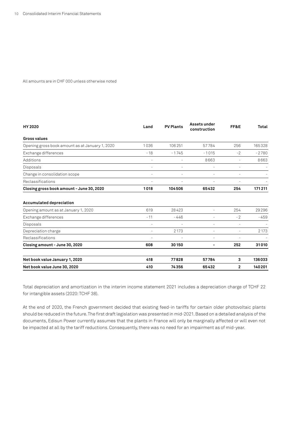| <b>HY 2020</b>                                                          | Land                     | <b>PV Plants</b>         | Assets under<br>construction | FF&E                     | Total   |
|-------------------------------------------------------------------------|--------------------------|--------------------------|------------------------------|--------------------------|---------|
| Gross values                                                            |                          |                          |                              |                          |         |
| Opening gross book amount as at January 1, 2020                         | 1036                     | 106251                   | 57784                        | 256                      | 165328  |
| Exchange differences                                                    | $-18$                    | $-1745$                  | $-1015$                      | $-2$                     | $-2780$ |
| Additions                                                               | $\equiv$                 |                          | 8663                         | -                        | 8663    |
| Disposals                                                               |                          |                          |                              |                          |         |
| Change in consolidation scope                                           | $\rightarrow$            |                          |                              |                          |         |
| Reclassifications                                                       | $\overline{\phantom{a}}$ | $\overline{\phantom{a}}$ | ۰                            | ۰                        |         |
| Closing gross book amount - June 30, 2020                               | 1018                     | 104506                   | 65432                        | 254                      | 171211  |
| <b>Accumulated depreciation</b><br>Opening amount as at January 1, 2020 | 619                      | 28423                    | $\equiv$                     | 254                      | 29296   |
| Exchange differences                                                    | $-11$                    | $-446$                   | $\equiv$                     | $-2$                     | $-459$  |
| Disposals                                                               | $\rightarrow$            |                          | ۰                            |                          |         |
| Depreciation charge                                                     | $\rightarrow$            | 2173                     | $\rightarrow$                | $\overline{\phantom{a}}$ | 2173    |
| Reclassifications                                                       | ۰                        | $\overline{\phantom{a}}$ | ۰                            |                          |         |
| Closing amount - June 30, 2020                                          | 608                      | 30150                    | ۰                            | 252                      | 31010   |
| Net book value January 1, 2020                                          | 418                      | 77828                    | 57784                        | 3                        | 136033  |
| Net book value June 30, 2020                                            | 410                      | 74356                    | 65432                        | $\mathbf{2}$             | 140201  |

Total depreciation and amortization in the interim income statement 2021 includes a depreciation charge of TCHF 22 for intangible assets (2020: TCHF 38).

At the end of 2020, the French government decided that existing feed-in tariffs for certain older photovoltaic plants should be reduced in the future. The first draft legislation was presented in mid-2021. Based on a detailed analysis of the documents, Edisun Power currently assumes that the plants in France will only be marginally affected or will even not be impacted at all by the tariff reductions. Consequently, there was no need for an impairment as of mid-year.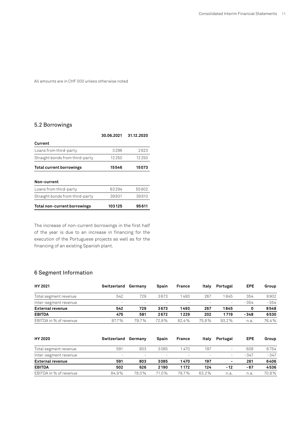### 5.2 Borrowings

|                                 | 30.06.2021 | 31.12.2020 |
|---------------------------------|------------|------------|
| Current                         |            |            |
| Loans from third-party          | 3296       | 2823       |
| Straight bonds from third-party | 12250      | 12250      |
| Total current borrowings        | 15546      | 15073      |
|                                 |            |            |
| Non-current                     |            |            |
| Loans from third-party          | 63294      | 55802      |
| Straight bonds from third-party | 39831      | 39810      |
| Total non-current borrowings    | 103125     | 95611      |

The increase of non-current borrowings in the first half of the year is due to an increase in financing for the execution of the Portuguese projects as well as for the financing of an existing Spanish plant.

# 6 Segment Information

| HY 2021                | Switzerland | Germany | Spain                    | France                   | Italv | Portugal                 | EPE    | Group  |
|------------------------|-------------|---------|--------------------------|--------------------------|-------|--------------------------|--------|--------|
| Total segment revenue  | 542         | 729     | 3673                     | 1 493                    | 267   | 845                      | 354    | 8902   |
| Inter-segment revenue  | -           |         | $\overline{\phantom{a}}$ | $\overline{\phantom{0}}$ |       | $\overline{\phantom{a}}$ | $-354$ | $-354$ |
| External revenue       | 542         | 729     | 3673                     | 1493                     | 267   | 1845                     |        | 8548   |
| <b>EBITDA</b>          | 475         | 581     | 2672                     | 1229                     | 202   | 1719                     | $-348$ | 6530   |
| EBITDA in % of revenue | 87.7%       | 797%    | 72.8%                    | 824%                     | 75.8% | 93.2%                    | n.a    | 76.4%  |

| HY 2020                 | Switzerland              | Germanv                  | Spain                    | France                   | Italv    | Portugal                 | <b>EPE</b> | Group  |
|-------------------------|--------------------------|--------------------------|--------------------------|--------------------------|----------|--------------------------|------------|--------|
| Total segment revenue   | 591                      | 803                      | 3085                     | 1470                     | 197      | $\overline{\phantom{0}}$ | 608        | 6754   |
| Inter-segment revenue   | $\overline{\phantom{0}}$ | $\overline{\phantom{0}}$ | $\overline{\phantom{0}}$ | $\overline{\phantom{a}}$ | $\equiv$ | $\overline{\phantom{a}}$ | $-347$     | $-347$ |
| <b>External revenue</b> | 591                      | 803                      | 3085                     | 1470                     | 197      | $\overline{\phantom{a}}$ | 261        | 6406   |
| <b>EBITDA</b>           | 502                      | 626                      | 2190                     | 1 1 7 2                  | 124      | - 12                     | $-67$      | 4536   |
| EBITDA in % of revenue  | 84.9%                    | 78.0%                    | 71.0%                    | 797%                     | 632%     | n.a.                     | n.a.       | 70.8%  |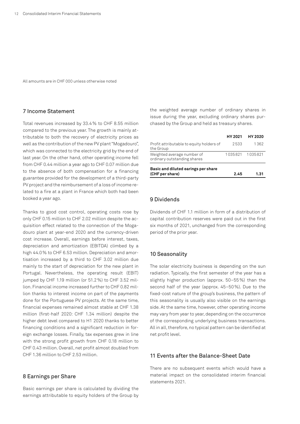### 7 Income Statement

Total revenues increased by 33.4% to CHF 8.55 million compared to the previous year. The growth is mainly attributable to both the recovery of electricity prices as well as the contribution of the new PV plant "Mogadouro", which was connected to the electricity grid by the end of last year. On the other hand, other operating income fell from CHF 0.44 million a year ago to CHF 0.07 million due to the absence of both compensation for a financing guarantee provided for the development of a third-party PV project and the reimbursement of a loss of income related to a fire at a plant in France which both had been booked a year ago.

Thanks to good cost control, operating costs rose by only CHF 0.15 million to CHF 2.02 million despite the acquisition effect related to the connection of the Mogadouro plant at year-end 2020 and the currency-driven cost increase. Overall, earnings before interest, taxes, depreciation and amortization (EBITDA) climbed by a high 44.0% to CHF 6.53 million. Depreciation and amortisation increased by a third to CHF 3.02 million due mainly to the start of depreciation for the new plant in Portugal. Nevertheless, the operating result (EBIT) jumped by CHF 1.19 million (or 51.2%) to CHF 3.52 million. Financial income increased further to CHF 0.82 million thanks to interest income on part of the payments done for the Portuguese PV projects. At the same time, financial expenses remained almost stable at CHF 1.38 million (first-half 2020: CHF 1.34 million) despite the higher debt level compared to H1 2020 thanks to better financing conditions and a significant reduction in foreign exchange losses. Finally, tax expenses grew in line with the strong profit growth from CHF 0.18 million to CHF 0.43 million. Overall, net profit almost doubled from CHF 1.36 million to CHF 2.53 million.

#### 8 Earnings per Share

Basic earnings per share is calculated by dividing the earnings attributable to equity holders of the Group by the weighted average number of ordinary shares in issue during the year, excluding ordinary shares purchased by the Group and held as treasury shares.

|                                                           | HY 2021 | <b>HY 2020</b> |
|-----------------------------------------------------------|---------|----------------|
| Profit attributable to equity holders of<br>the Group     | 2533    | 1362           |
| Weighted average number of<br>ordinary outstanding shares | 1035821 | 1035821        |
| Basic and diluted earings per share<br>(CHF per share)    | 2.45    | 1.31           |
|                                                           |         |                |

#### 9 Dividends

Dividends of CHF 1.1 million in form of a distribution of capital contribution reserves were paid out in the first six months of 2021, unchanged from the corresponding period of the prior year.

#### 10 Seasonality

The solar electricity business is depending on the sun radiation. Typically, the first semester of the year has a slightly higher production (approx. 50–55%) than the second half of the year (approx. 45–50%). Due to the fixed-cost nature of the group's business, the pattern of this seasonality is usually also visible on the earnings side. At the same time, however, other operating income may vary from year to year, depending on the occurrence of the corresponding underlying business transactions. All in all, therefore, no typical pattern can be identified at net profit level.

### 11 Events after the Balance-Sheet Date

There are no subsequent events which would have a material impact on the consolidated interim financial statements 2021.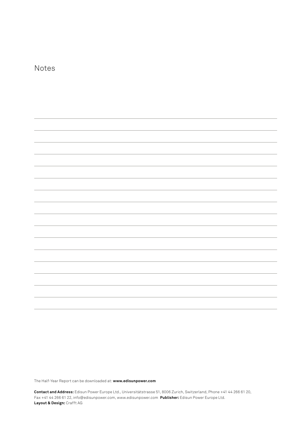| Notes |  |
|-------|--|
|       |  |
|       |  |
|       |  |
|       |  |
|       |  |
|       |  |
|       |  |
|       |  |
|       |  |
|       |  |
|       |  |
|       |  |
|       |  |

The Half-Year Report can be downloaded at: **[www.edisunpower.com](http://www.edisunpower.com)**

**Contact and Address:** Edisun Power Europe Ltd., Universitätstrasse 51, 8006 Zurich, Switzerland, Phone +41 44 266 61 20, Fax +41 44 266 61 22, [info@edisunpower.com](mailto:info%40edisunpower.com?subject=), [www.edisunpower.com](http://www.edisunpower.com) **Publisher:** Edisun Power Europe Ltd. **Layout & Design:** Crafft AG